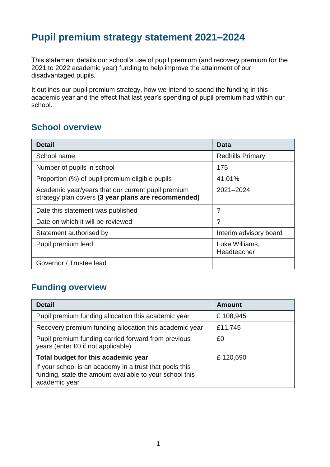# **Pupil premium strategy statement 2021–2024**

This statement details our school's use of pupil premium (and recovery premium for the 2021 to 2022 academic year) funding to help improve the attainment of our disadvantaged pupils.

It outlines our pupil premium strategy, how we intend to spend the funding in this academic year and the effect that last year's spending of pupil premium had within our school.

### **School overview**

| <b>Detail</b>                                                                                             | Data                          |
|-----------------------------------------------------------------------------------------------------------|-------------------------------|
| School name                                                                                               | <b>Redhills Primary</b>       |
| Number of pupils in school                                                                                | 175                           |
| Proportion (%) of pupil premium eligible pupils                                                           | 41.01%                        |
| Academic year/years that our current pupil premium<br>strategy plan covers (3 year plans are recommended) | 2021-2024                     |
| Date this statement was published                                                                         | ?                             |
| Date on which it will be reviewed                                                                         | ?                             |
| Statement authorised by                                                                                   | Interim advisory board        |
| Pupil premium lead                                                                                        | Luke Williams,<br>Headteacher |
| Governor / Trustee lead                                                                                   |                               |

### **Funding overview**

| <b>Detail</b>                                                                                                                                                              | <b>Amount</b> |
|----------------------------------------------------------------------------------------------------------------------------------------------------------------------------|---------------|
| Pupil premium funding allocation this academic year                                                                                                                        | £108,945      |
| Recovery premium funding allocation this academic year                                                                                                                     | £11,745       |
| Pupil premium funding carried forward from previous<br>years (enter £0 if not applicable)                                                                                  | £0            |
| Total budget for this academic year<br>If your school is an academy in a trust that pools this<br>funding, state the amount available to your school this<br>academic year | £120,690      |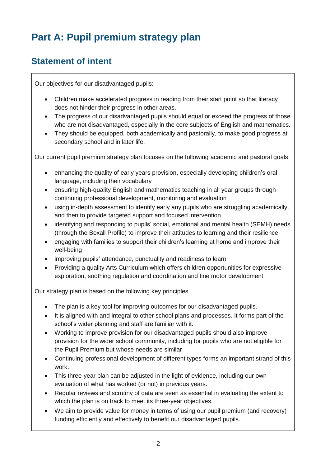# **Part A: Pupil premium strategy plan**

### **Statement of intent**

Our objectives for our disadvantaged pupils:

- Children make accelerated progress in reading from their start point so that literacy does not hinder their progress in other areas.
- The progress of our disadvantaged pupils should equal or exceed the progress of those who are not disadvantaged, especially in the core subjects of English and mathematics.
- They should be equipped, both academically and pastorally, to make good progress at secondary school and in later life.

Our current pupil premium strategy plan focuses on the following academic and pastoral goals:

- enhancing the quality of early years provision, especially developing children's oral language, including their vocabulary
- ensuring high-quality English and mathematics teaching in all year groups through continuing professional development, monitoring and evaluation
- using in-depth assessment to identify early any pupils who are struggling academically, and then to provide targeted support and focused intervention
- identifying and responding to pupils' social, emotional and mental health (SEMH) needs (through the Boxall Profile) to improve their attitudes to learning and their resilience
- engaging with families to support their children's learning at home and improve their well-being
- improving pupils' attendance, punctuality and readiness to learn
- Providing a quality Arts Curriculum which offers children opportunities for expressive exploration, soothing regulation and coordination and fine motor development

Our strategy plan is based on the following key principles

- The plan is a key tool for improving outcomes for our disadvantaged pupils.
- It is aligned with and integral to other school plans and processes. It forms part of the school's wider planning and staff are familiar with it.
- Working to improve provision for our disadvantaged pupils should also improve provision for the wider school community, including for pupils who are not eligible for the Pupil Premium but whose needs are similar.
- Continuing professional development of different types forms an important strand of this work.
- This three-year plan can be adjusted in the light of evidence, including our own evaluation of what has worked (or not) in previous years.
- Regular reviews and scrutiny of data are seen as essential in evaluating the extent to which the plan is on track to meet its three-year objectives.
- We aim to provide value for money in terms of using our pupil premium (and recovery) funding efficiently and effectively to benefit our disadvantaged pupils.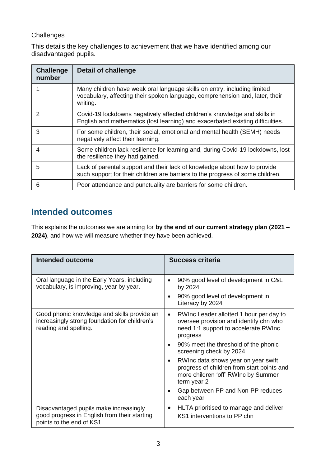#### **Challenges**

This details the key challenges to achievement that we have identified among our disadvantaged pupils.

| <b>Challenge</b><br>number | <b>Detail of challenge</b>                                                                                                                                           |
|----------------------------|----------------------------------------------------------------------------------------------------------------------------------------------------------------------|
|                            | Many children have weak oral language skills on entry, including limited<br>vocabulary, affecting their spoken language, comprehension and, later, their<br>writing. |
| $\mathcal{P}$              | Covid-19 lockdowns negatively affected children's knowledge and skills in<br>English and mathematics (lost learning) and exacerbated existing difficulties.          |
| 3                          | For some children, their social, emotional and mental health (SEMH) needs<br>negatively affect their learning.                                                       |
| 4                          | Some children lack resilience for learning and, during Covid-19 lockdowns, lost<br>the resilience they had gained.                                                   |
| 5                          | Lack of parental support and their lack of knowledge about how to provide<br>such support for their children are barriers to the progress of some children.          |
| 6                          | Poor attendance and punctuality are barriers for some children.                                                                                                      |

### **Intended outcomes**

This explains the outcomes we are aiming for **by the end of our current strategy plan (2021 – 2024)**, and how we will measure whether they have been achieved.

| <b>Intended outcome</b>                                                                                               | Success criteria                                                                                                                                     |
|-----------------------------------------------------------------------------------------------------------------------|------------------------------------------------------------------------------------------------------------------------------------------------------|
| Oral language in the Early Years, including<br>vocabulary, is improving, year by year.                                | 90% good level of development in C&L<br>by 2024                                                                                                      |
|                                                                                                                       | 90% good level of development in<br>Literacy by 2024                                                                                                 |
| Good phonic knowledge and skills provide an<br>increasingly strong foundation for children's<br>reading and spelling. | RWInc Leader allotted 1 hour per day to<br>$\bullet$<br>oversee provision and identify chn who<br>need 1:1 support to accelerate RWInc<br>progress   |
|                                                                                                                       | 90% meet the threshold of the phonic<br>$\bullet$<br>screening check by 2024                                                                         |
|                                                                                                                       | RWInc data shows year on year swift<br>$\bullet$<br>progress of children from start points and<br>more children 'off' RWInc by Summer<br>term year 2 |
|                                                                                                                       | Gap between PP and Non-PP reduces<br>each year                                                                                                       |
| Disadvantaged pupils make increasingly<br>good progress in English from their starting<br>points to the end of KS1    | HLTA prioritised to manage and deliver<br>$\bullet$<br>KS1 interventions to PP chn                                                                   |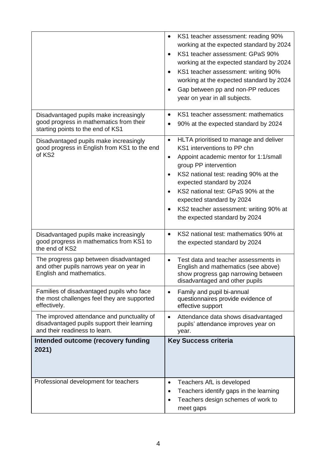|                                                                                                                            | KS1 teacher assessment: reading 90%<br>$\bullet$<br>working at the expected standard by 2024<br>KS1 teacher assessment: GPaS 90%<br>working at the expected standard by 2024<br>KS1 teacher assessment: writing 90%<br>$\bullet$<br>working at the expected standard by 2024<br>Gap between pp and non-PP reduces<br>year on year in all subjects.                                                              |
|----------------------------------------------------------------------------------------------------------------------------|-----------------------------------------------------------------------------------------------------------------------------------------------------------------------------------------------------------------------------------------------------------------------------------------------------------------------------------------------------------------------------------------------------------------|
| Disadvantaged pupils make increasingly<br>good progress in mathematics from their<br>starting points to the end of KS1     | KS1 teacher assessment: mathematics<br>$\bullet$<br>90% at the expected standard by 2024                                                                                                                                                                                                                                                                                                                        |
| Disadvantaged pupils make increasingly<br>good progress in English from KS1 to the end<br>of KS2                           | HLTA prioritised to manage and deliver<br>$\bullet$<br>KS1 interventions to PP chn<br>Appoint academic mentor for 1:1/small<br>$\bullet$<br>group PP intervention<br>KS2 national test: reading 90% at the<br>expected standard by 2024<br>KS2 national test: GPaS 90% at the<br>$\bullet$<br>expected standard by 2024<br>KS2 teacher assessment: writing 90% at<br>$\bullet$<br>the expected standard by 2024 |
| Disadvantaged pupils make increasingly<br>good progress in mathematics from KS1 to<br>the end of KS2                       | KS2 national test: mathematics 90% at<br>the expected standard by 2024                                                                                                                                                                                                                                                                                                                                          |
| The progress gap between disadvantaged<br>and other pupils narrows year on year in<br>English and mathematics.             | Test data and teacher assessments in<br>English and mathematics (see above)<br>show progress gap narrowing between<br>disadvantaged and other pupils                                                                                                                                                                                                                                                            |
| Families of disadvantaged pupils who face<br>the most challenges feel they are supported<br>effectively.                   | Family and pupil bi-annual<br>$\bullet$<br>questionnaires provide evidence of<br>effective support                                                                                                                                                                                                                                                                                                              |
| The improved attendance and punctuality of<br>disadvantaged pupils support their learning<br>and their readiness to learn. | Attendance data shows disadvantaged<br>$\bullet$<br>pupils' attendance improves year on<br>year.                                                                                                                                                                                                                                                                                                                |
| Intended outcome (recovery funding<br>2021)                                                                                | <b>Key Success criteria</b>                                                                                                                                                                                                                                                                                                                                                                                     |
| Professional development for teachers                                                                                      | Teachers AfL is developed<br>$\bullet$<br>Teachers identify gaps in the learning<br>Teachers design schemes of work to<br>meet gaps                                                                                                                                                                                                                                                                             |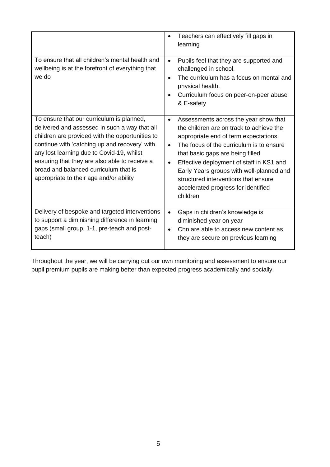|                                                                                                                                                                                                                                                                                                                                                                                  | Teachers can effectively fill gaps in<br>learning                                                                                                                                                                                                                                                                                                                                                         |
|----------------------------------------------------------------------------------------------------------------------------------------------------------------------------------------------------------------------------------------------------------------------------------------------------------------------------------------------------------------------------------|-----------------------------------------------------------------------------------------------------------------------------------------------------------------------------------------------------------------------------------------------------------------------------------------------------------------------------------------------------------------------------------------------------------|
| To ensure that all children's mental health and<br>wellbeing is at the forefront of everything that<br>we do                                                                                                                                                                                                                                                                     | Pupils feel that they are supported and<br>$\bullet$<br>challenged in school.<br>The curriculum has a focus on mental and<br>physical health.<br>Curriculum focus on peer-on-peer abuse<br>& E-safety                                                                                                                                                                                                     |
| To ensure that our curriculum is planned,<br>delivered and assessed in such a way that all<br>children are provided with the opportunities to<br>continue with 'catching up and recovery' with<br>any lost learning due to Covid-19, whilst<br>ensuring that they are also able to receive a<br>broad and balanced curriculum that is<br>appropriate to their age and/or ability | Assessments across the year show that<br>$\bullet$<br>the children are on track to achieve the<br>appropriate end of term expectations<br>The focus of the curriculum is to ensure<br>that basic gaps are being filled<br>Effective deployment of staff in KS1 and<br>Early Years groups with well-planned and<br>structured interventions that ensure<br>accelerated progress for identified<br>children |
| Delivery of bespoke and targeted interventions<br>to support a diminishing difference in learning<br>gaps (small group, 1-1, pre-teach and post-<br>teach)                                                                                                                                                                                                                       | Gaps in children's knowledge is<br>$\bullet$<br>diminished year on year<br>Chn are able to access new content as<br>they are secure on previous learning                                                                                                                                                                                                                                                  |

Throughout the year, we will be carrying out our own monitoring and assessment to ensure our pupil premium pupils are making better than expected progress academically and socially.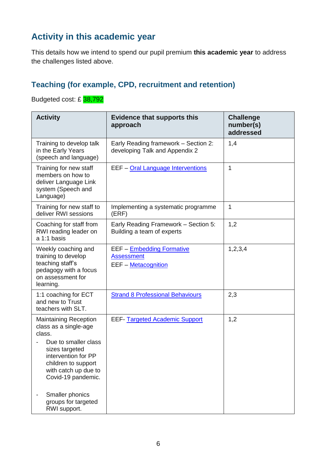## **Activity in this academic year**

This details how we intend to spend our pupil premium **this academic year** to address the challenges listed above.

#### **Teaching (for example, CPD, recruitment and retention)**

Budgeted cost: £ 38,792

| <b>Activity</b>                                                                                                                                                                                                          | <b>Evidence that supports this</b><br>approach                                      | <b>Challenge</b><br>number(s)<br>addressed |
|--------------------------------------------------------------------------------------------------------------------------------------------------------------------------------------------------------------------------|-------------------------------------------------------------------------------------|--------------------------------------------|
| Training to develop talk<br>in the Early Years<br>(speech and language)                                                                                                                                                  | Early Reading framework - Section 2:<br>developing Talk and Appendix 2              | 1,4                                        |
| Training for new staff<br>members on how to<br>deliver Language Link<br>system (Speech and<br>Language)                                                                                                                  | EEF - Oral Language Interventions                                                   | 1                                          |
| Training for new staff to<br>deliver RWI sessions                                                                                                                                                                        | Implementing a systematic programme<br>(ERF)                                        | 1                                          |
| Coaching for staff from<br>RWI reading leader on<br>a 1:1 basis                                                                                                                                                          | Early Reading Framework - Section 5:<br>Building a team of experts                  | 1,2                                        |
| Weekly coaching and<br>training to develop<br>teaching staff's<br>pedagogy with a focus<br>on assessment for<br>learning.                                                                                                | <b>EEF - Embedding Formative</b><br><b>Assessment</b><br><b>EEF</b> – Metacognition | 1,2,3,4                                    |
| 1:1 coaching for ECT<br>and new to Trust<br>teachers with SLT.                                                                                                                                                           | <b>Strand 8 Professional Behaviours</b>                                             | 2,3                                        |
| <b>Maintaining Reception</b><br>class as a single-age<br>class.<br>Due to smaller class<br>sizes targeted<br>intervention for PP<br>children to support<br>with catch up due to<br>Covid-19 pandemic.<br>Smaller phonics | <b>EEF-</b> Targeted Academic Support                                               | 1,2                                        |
| groups for targeted<br>RWI support.                                                                                                                                                                                      |                                                                                     |                                            |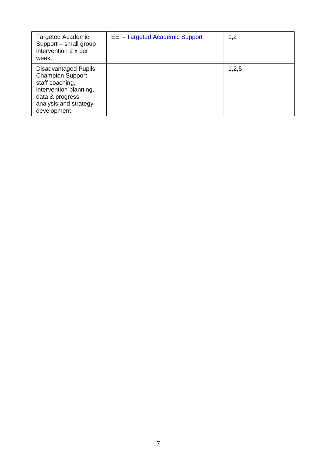| Targeted Academic<br>Support - small group<br>intervention 2 x per<br>week.                                                                               | <b>EEF- Targeted Academic Support</b> | 1,2   |
|-----------------------------------------------------------------------------------------------------------------------------------------------------------|---------------------------------------|-------|
| <b>Disadvantaged Pupils</b><br>Champion Support -<br>staff coaching,<br>intervention planning,<br>data & progress<br>analysis and strategy<br>development |                                       | 1,2,5 |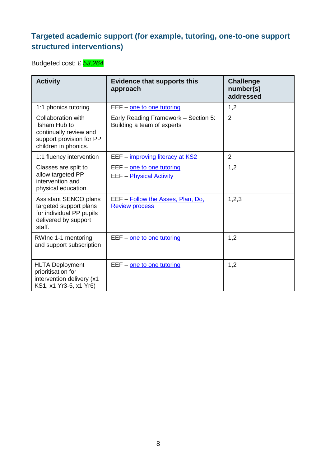### **Targeted academic support (for example, tutoring, one-to-one support structured interventions)**

Budgeted cost: £ *53,264*

| <b>Activity</b>                                                                                                   | <b>Evidence that supports this</b><br>approach                     | <b>Challenge</b><br>number(s)<br>addressed |
|-------------------------------------------------------------------------------------------------------------------|--------------------------------------------------------------------|--------------------------------------------|
| 1:1 phonics tutoring                                                                                              | EEF - one to one tutoring                                          | 1,2                                        |
| Collaboration with<br>Ilsham Hub to<br>continually review and<br>support provision for PP<br>children in phonics. | Early Reading Framework - Section 5:<br>Building a team of experts | $\overline{2}$                             |
| 1:1 fluency intervention                                                                                          | EEF - improving literacy at KS2                                    | $\overline{2}$                             |
| Classes are split to<br>allow targeted PP<br>intervention and<br>physical education.                              | EEF - one to one tutoring<br><b>EEF - Physical Activity</b>        | 1,2                                        |
| Assistant SENCO plans<br>targeted support plans<br>for individual PP pupils<br>delivered by support<br>staff.     | EEF - Follow the Asses, Plan, Do.<br><b>Review process</b>         | 1,2,3                                      |
| RWInc 1-1 mentoring<br>and support subscription                                                                   | EEF - one to one tutoring                                          | 1,2                                        |
| <b>HLTA Deployment</b><br>prioritisation for<br>intervention delivery (x1<br>KS1, x1 Yr3-5, x1 Yr6)               | EEF - one to one tutoring                                          | 1,2                                        |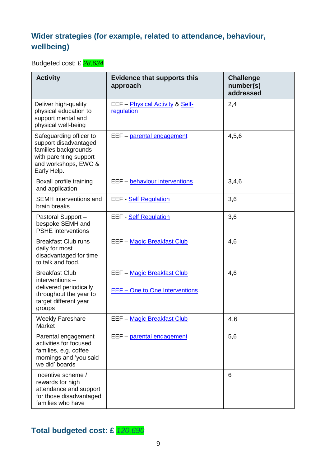### **Wider strategies (for example, related to attendance, behaviour, wellbeing)**

Budgeted cost: £ *28,634*

| <b>Activity</b>                                                                                                                           | <b>Evidence that supports this</b><br>approach               | <b>Challenge</b><br>number(s)<br>addressed |
|-------------------------------------------------------------------------------------------------------------------------------------------|--------------------------------------------------------------|--------------------------------------------|
| Deliver high-quality<br>physical education to<br>support mental and<br>physical well-being                                                | EEF - Physical Activity & Self-<br>regulation                | 2,4                                        |
| Safeguarding officer to<br>support disadvantaged<br>families backgrounds<br>with parenting support<br>and workshops, EWO &<br>Early Help. | EEF - parental engagement                                    | 4,5,6                                      |
| Boxall profile training<br>and application                                                                                                | EEF - behaviour interventions                                | 3,4,6                                      |
| <b>SEMH</b> interventions and<br>brain breaks                                                                                             | <b>EEF</b> - Self Regulation                                 | 3,6                                        |
| Pastoral Support -<br>bespoke SEMH and<br><b>PSHE</b> interventions                                                                       | EEF - Self Regulation                                        | 3,6                                        |
| <b>Breakfast Club runs</b><br>daily for most<br>disadvantaged for time<br>to talk and food.                                               | <b>EEF - Magic Breakfast Club</b>                            | 4,6                                        |
| <b>Breakfast Club</b><br>interventions -<br>delivered periodically<br>throughout the year to<br>target different year<br>groups           | EEF - Magic Breakfast Club<br>EEF - One to One Interventions | 4,6                                        |
| <b>Weekly Fareshare</b><br>Market                                                                                                         | EEF - Magic Breakfast Club                                   | 4,6                                        |
| Parental engagement<br>activities for focused<br>families, e.g. coffee<br>mornings and 'you said<br>we did' boards                        | EEF - parental engagement                                    | 5,6                                        |
| Incentive scheme /<br>rewards for high<br>attendance and support<br>for those disadvantaged<br>families who have                          |                                                              | 6                                          |

## **Total budgeted cost: £** *120,690*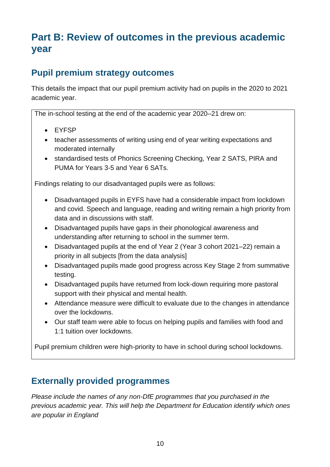# **Part B: Review of outcomes in the previous academic year**

### **Pupil premium strategy outcomes**

This details the impact that our pupil premium activity had on pupils in the 2020 to 2021 academic year.

The in-school testing at the end of the academic year 2020–21 drew on:

- EYFSP
- teacher assessments of writing using end of year writing expectations and moderated internally
- standardised tests of Phonics Screening Checking, Year 2 SATS, PIRA and PUMA for Years 3-5 and Year 6 SATs.

Findings relating to our disadvantaged pupils were as follows:

- Disadvantaged pupils in EYFS have had a considerable impact from lockdown and covid. Speech and language, reading and writing remain a high priority from data and in discussions with staff.
- Disadvantaged pupils have gaps in their phonological awareness and understanding after returning to school in the summer term.
- Disadvantaged pupils at the end of Year 2 (Year 3 cohort 2021–22) remain a priority in all subjects [from the data analysis]
- Disadvantaged pupils made good progress across Key Stage 2 from summative testing.
- Disadvantaged pupils have returned from lock-down requiring more pastoral support with their physical and mental health.
- Attendance measure were difficult to evaluate due to the changes in attendance over the lockdowns.
- Our staff team were able to focus on helping pupils and families with food and 1:1 tuition over lockdowns.

Pupil premium children were high-priority to have in school during school lockdowns.

### **Externally provided programmes**

*Please include the names of any non-DfE programmes that you purchased in the previous academic year. This will help the Department for Education identify which ones are popular in England*